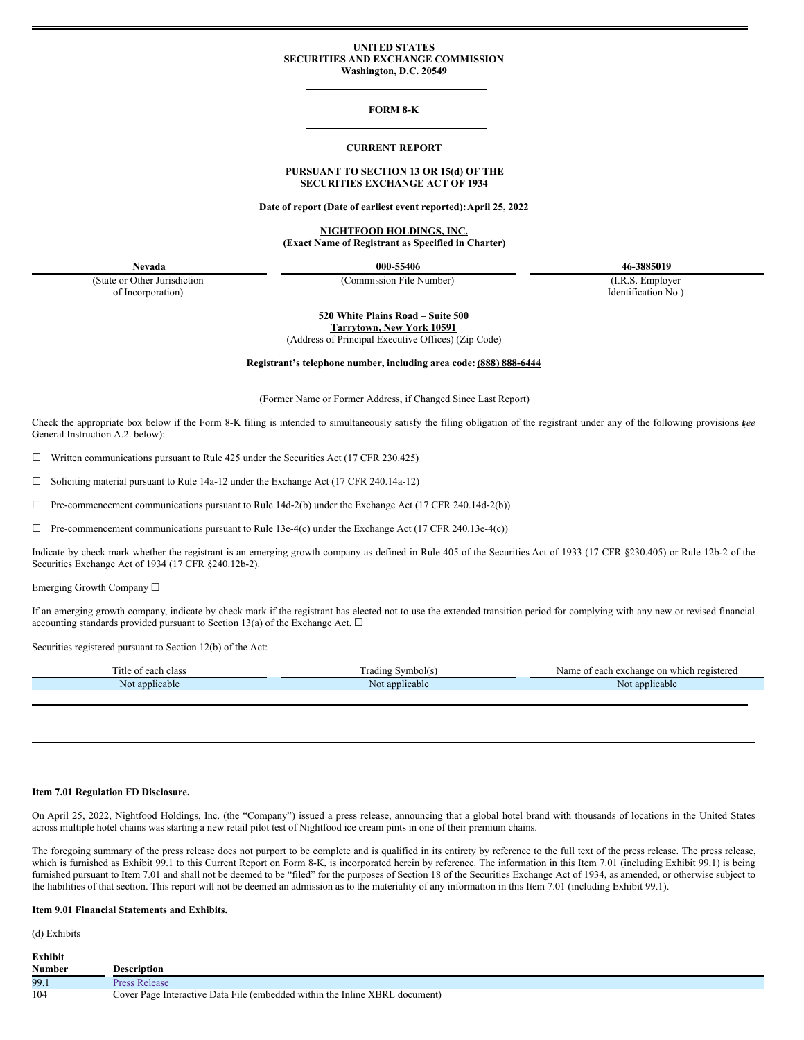## **UNITED STATES SECURITIES AND EXCHANGE COMMISSION Washington, D.C. 20549**

## **FORM 8-K**

#### **CURRENT REPORT**

# **PURSUANT TO SECTION 13 OR 15(d) OF THE SECURITIES EXCHANGE ACT OF 1934**

**Date of report (Date of earliest event reported):April 25, 2022**

**NIGHTFOOD HOLDINGS, INC. (Exact Name of Registrant as Specified in Charter)**

(State or Other Jurisdiction of Incorporation)

(Commission File Number) (I.R.S. Employer

**Nevada 000-55406 46-3885019**

Identification No.)

**520 White Plains Road – Suite 500 Tarrytown, New York 10591**

(Address of Principal Executive Offices) (Zip Code)

**Registrant's telephone number, including area code: (888) 888-6444**

(Former Name or Former Address, if Changed Since Last Report)

Check the appropriate box below if the Form 8-K filing is intended to simultaneously satisfy the filing obligation of the registrant under any of the following provisions (*see* General Instruction A.2. below):

 $\Box$  Written communications pursuant to Rule 425 under the Securities Act (17 CFR 230.425)

☐ Soliciting material pursuant to Rule 14a-12 under the Exchange Act (17 CFR 240.14a-12)

 $\Box$  Pre-commencement communications pursuant to Rule 14d-2(b) under the Exchange Act (17 CFR 240.14d-2(b))

 $\Box$  Pre-commencement communications pursuant to Rule 13e-4(c) under the Exchange Act (17 CFR 240.13e-4(c))

Indicate by check mark whether the registrant is an emerging growth company as defined in Rule 405 of the Securities Act of 1933 (17 CFR §230.405) or Rule 12b-2 of the Securities Exchange Act of 1934 (17 CFR §240.12b-2).

Emerging Growth Company ☐

If an emerging growth company, indicate by check mark if the registrant has elected not to use the extended transition period for complying with any new or revised financial accounting standards provided pursuant to Section 13(a) of the Exchange Act.  $\Box$ 

Securities registered pursuant to Section 12(b) of the Act:

| Title of each class | Frading Symbol(s) | Name of each exchange on which registered |
|---------------------|-------------------|-------------------------------------------|
| t applicable<br>N٥  | Not applicable    | t applicable<br>Not                       |
|                     |                   |                                           |

## **Item 7.01 Regulation FD Disclosure.**

On April 25, 2022, Nightfood Holdings, Inc. (the "Company") issued a press release, announcing that a global hotel brand with thousands of locations in the United States across multiple hotel chains was starting a new retail pilot test of Nightfood ice cream pints in one of their premium chains.

The foregoing summary of the press release does not purport to be complete and is qualified in its entirety by reference to the full text of the press release. The press release, which is furnished as Exhibit 99.1 to this Current Report on Form 8-K, is incorporated herein by reference. The information in this Item 7.01 (including Exhibit 99.1) is being furnished pursuant to Item 7.01 and shall not be deemed to be "filed" for the purposes of Section 18 of the Securities Exchange Act of 1934, as amended, or otherwise subject to the liabilities of that section. This report will not be deemed an admission as to the materiality of any information in this Item 7.01 (including Exhibit 99.1).

#### **Item 9.01 Financial Statements and Exhibits.**

(d) Exhibits

| <b>Exhibit</b> |                                                                             |
|----------------|-----------------------------------------------------------------------------|
| <b>Number</b>  | <b>Description</b>                                                          |
| 99.1           | <b>Press Release</b>                                                        |
| 104            | Cover Page Interactive Data File (embedded within the Inline XBRL document) |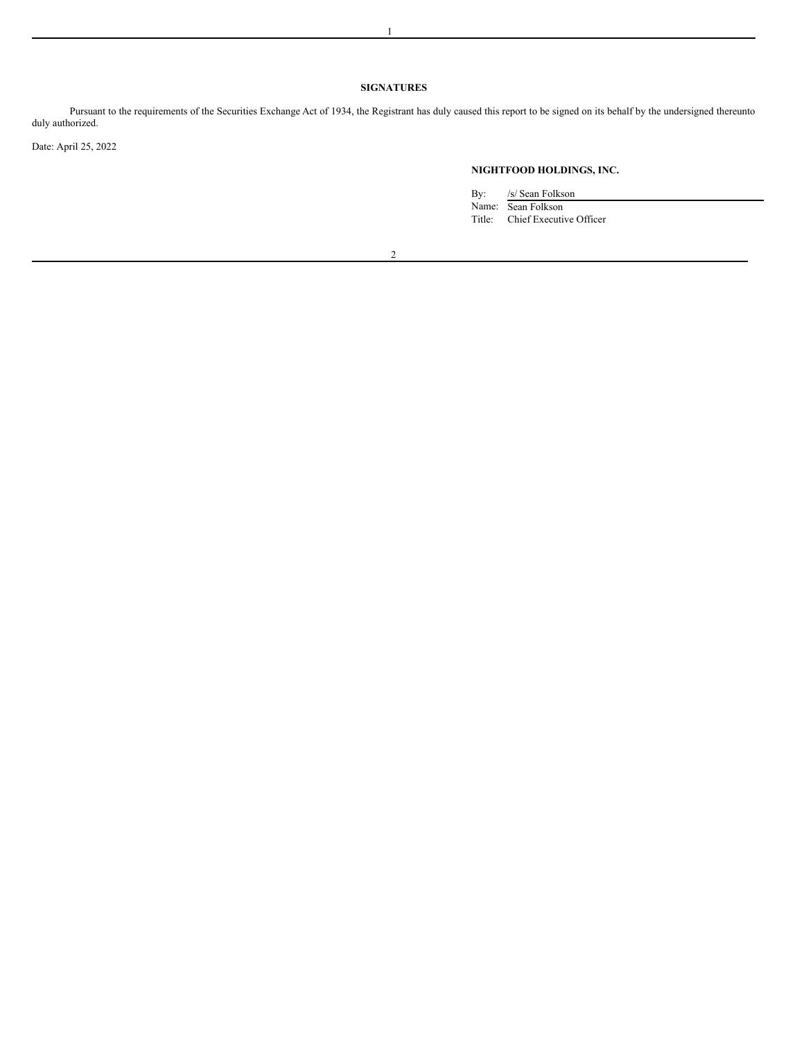# **SIGNATURES**

Pursuant to the requirements of the Securities Exchange Act of 1934, the Registrant has duly caused this report to be signed on its behalf by the undersigned thereunto duly authorized.

Date: April 25, 2022

# **NIGHTFOOD HOLDINGS, INC.**

By: /s/ Sean Folkson

Name: Sean Folkson Title: Chief Executive Officer

2